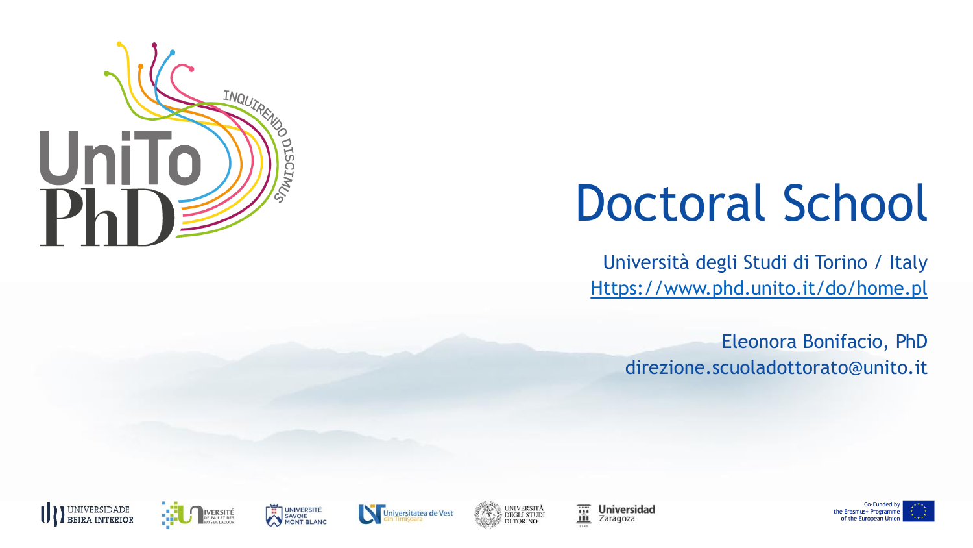

# Doctoral School

Università degli Studi di Torino / Italy [Https://www.phd.unito.it/do/home.pl](https://www.phd.unito.it/do/home.pl)

Eleonora Bonifacio, PhD direzione.scuoladottorato@unito.it











薑 **Universidad** Zaragoza

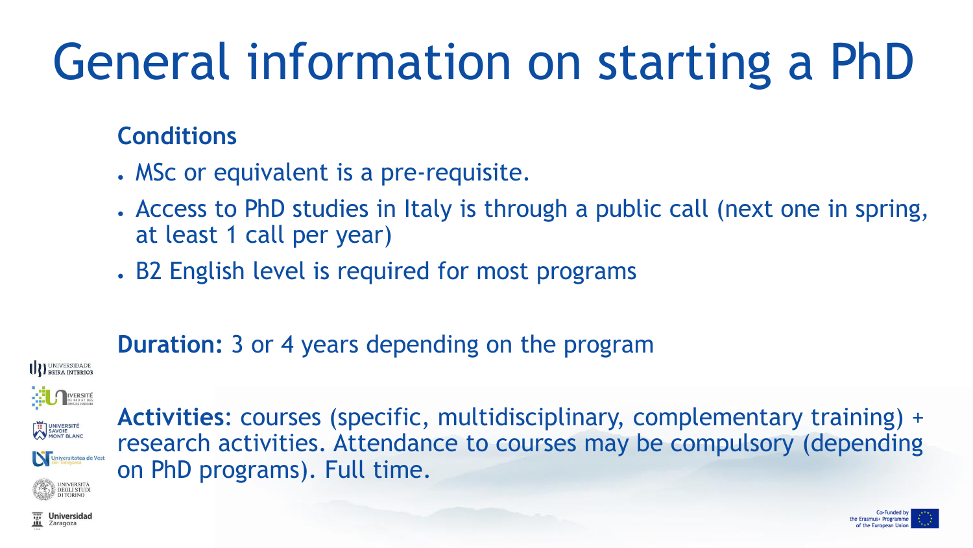# General information on starting a PhD

#### **Conditions**

- . MSc or equivalent is a pre-requisite.
- Access to PhD studies in Italy is through a public call (next one in spring, at least 1 call per year)
- . B2 English level is required for most programs

### **Duration:** 3 or 4 years depending on the program

**III** BEIRA INTERIOR



Universitatea de Vest

**Activities**: courses (specific, multidisciplinary, complementary training) + research activities. Attendance to courses may be compulsory (depending on PhD programs). Full time.

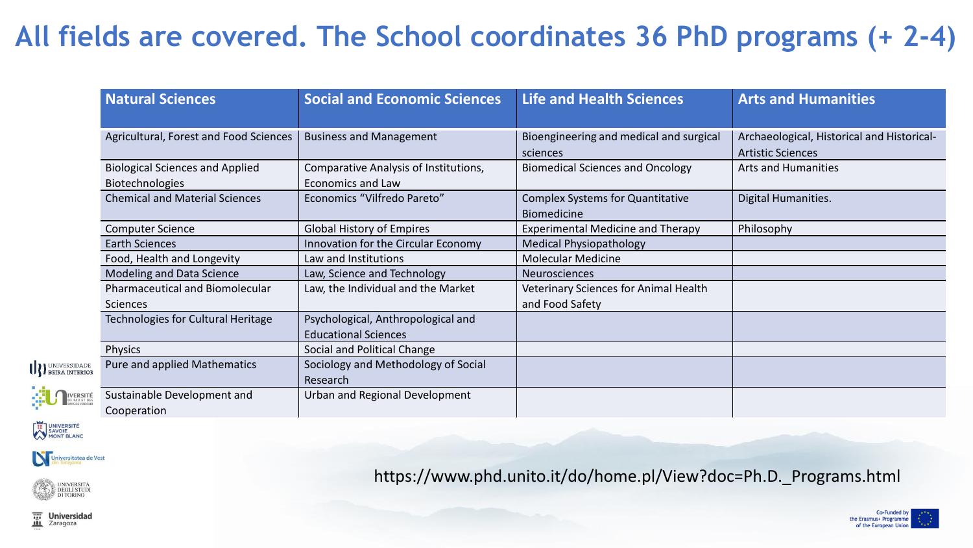### **All fields are covered. The School coordinates 36 PhD programs (+ 2-4)**

|                           | <b>Natural Sciences</b>                                          | <b>Social and Economic Sciences</b>                               | <b>Life and Health Sciences</b>                               | <b>Arts and Humanities</b>                                             |
|---------------------------|------------------------------------------------------------------|-------------------------------------------------------------------|---------------------------------------------------------------|------------------------------------------------------------------------|
|                           | Agricultural, Forest and Food Sciences                           | <b>Business and Management</b>                                    | Bioengineering and medical and surgical<br>sciences           | Archaeological, Historical and Historical-<br><b>Artistic Sciences</b> |
|                           | <b>Biological Sciences and Applied</b><br><b>Biotechnologies</b> | Comparative Analysis of Institutions,<br>Economics and Law        | <b>Biomedical Sciences and Oncology</b>                       | <b>Arts and Humanities</b>                                             |
|                           | <b>Chemical and Material Sciences</b>                            | Economics "Vilfredo Pareto"                                       | <b>Complex Systems for Quantitative</b><br><b>Biomedicine</b> | Digital Humanities.                                                    |
|                           | <b>Computer Science</b>                                          | <b>Global History of Empires</b>                                  | <b>Experimental Medicine and Therapy</b>                      | Philosophy                                                             |
|                           | <b>Earth Sciences</b>                                            | Innovation for the Circular Economy                               | <b>Medical Physiopathology</b>                                |                                                                        |
|                           | Food, Health and Longevity                                       | Law and Institutions                                              | <b>Molecular Medicine</b>                                     |                                                                        |
|                           | Modeling and Data Science                                        | Law, Science and Technology                                       | <b>Neurosciences</b>                                          |                                                                        |
|                           | Pharmaceutical and Biomolecular<br>Sciences                      | Law, the Individual and the Market                                | Veterinary Sciences for Animal Health<br>and Food Safety      |                                                                        |
|                           | Technologies for Cultural Heritage                               | Psychological, Anthropological and<br><b>Educational Sciences</b> |                                                               |                                                                        |
|                           | Physics                                                          | Social and Political Change                                       |                                                               |                                                                        |
| <b>III</b> BEIRA INTERIOR | Pure and applied Mathematics                                     | Sociology and Methodology of Social<br>Research                   |                                                               |                                                                        |
| IVERSITÉ                  | Sustainable Development and<br>Cooperation                       | Urban and Regional Development                                    |                                                               |                                                                        |

UNIVERSITÉ

Universitatea de Vest



https://www.phd.unito.it/do/home.pl/View?doc=Ph.D.\_Programs.html

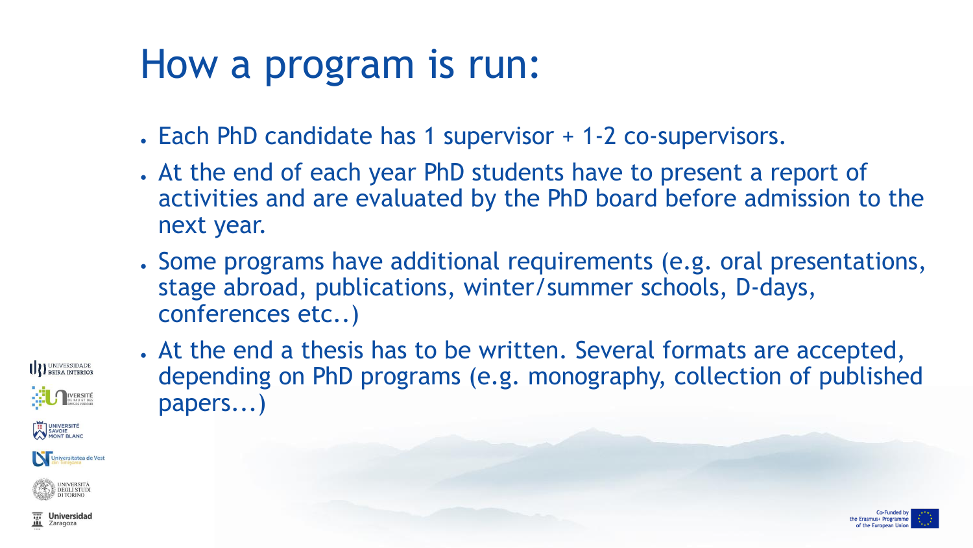## How a program is run:

- . Each PhD candidate has 1 supervisor + 1-2 co-supervisors.
- . At the end of each year PhD students have to present a report of activities and are evaluated by the PhD board before admission to the next year.
- Some programs have additional requirements (e.g. oral presentations, stage abroad, publications, winter/summer schools, D-days, conferences etc..)

**INIVERSIDADE** UNIVERSITÉ<br>SAVOIE<br>MONT BLANC Universitatea de Vest



. At the end a thesis has to be written. Several formats are accepted, depending on PhD programs (e.g. monography, collection of published papers...)



**Universidad** Zaragoza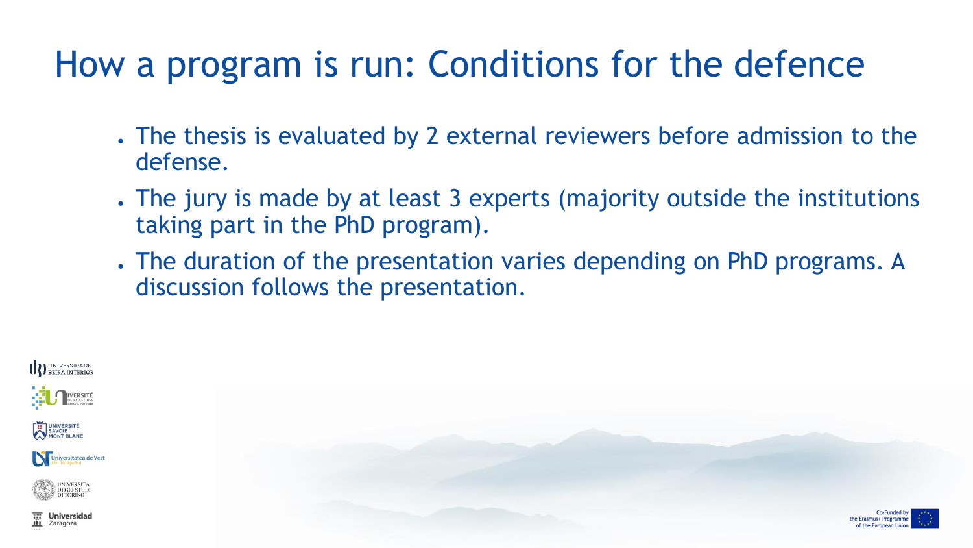## How a program is run: Conditions for the defence

- . The thesis is evaluated by 2 external reviewers before admission to the defense.
- . The jury is made by at least 3 experts (majority outside the institutions taking part in the PhD program).
- . The duration of the presentation varies depending on PhD programs. A discussion follows the presentation.